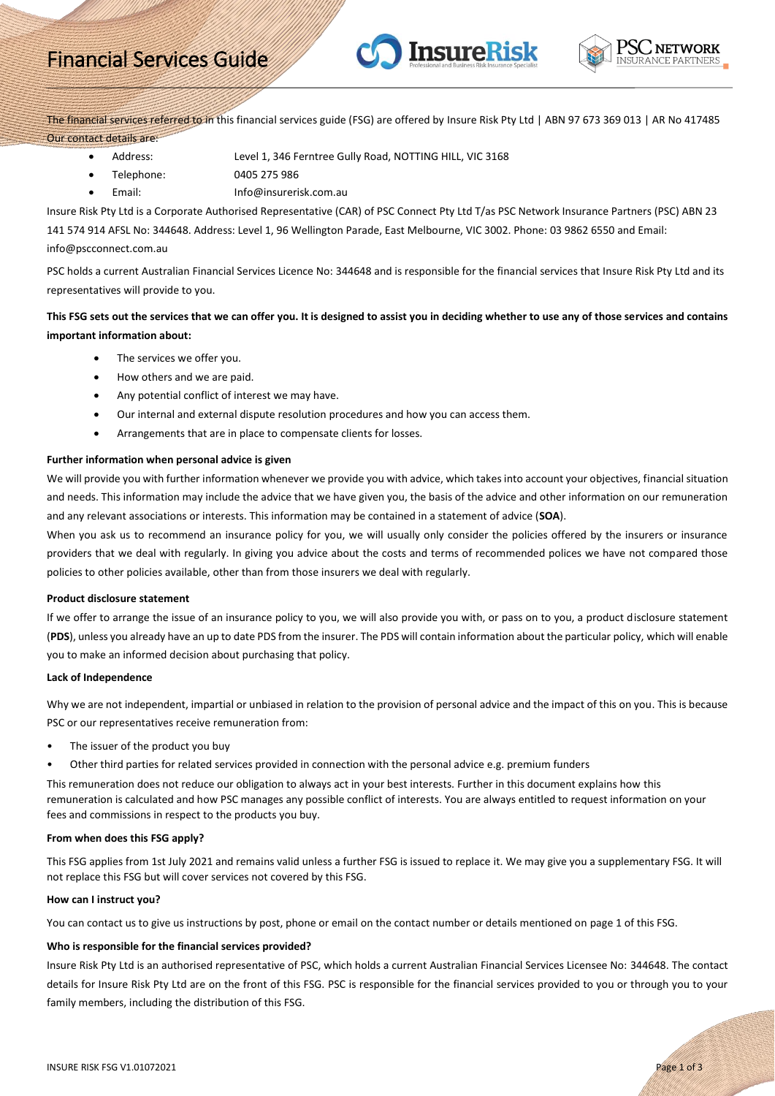# Financial Services Guide



The financial services referred to in this financial services guide (FSG) are offered by Insure Risk Pty Ltd | ABN 97 673 369 013 | AR No 417485 Our contact details are:

**InsureRisk** 

- Address: Level 1, 346 Ferntree Gully Road, NOTTING HILL, VIC 3168
- Telephone: 0405 275 986
- Email: Info@insurerisk.com.au

Insure Risk Pty Ltd is a Corporate Authorised Representative (CAR) of PSC Connect Pty Ltd T/as PSC Network Insurance Partners (PSC) ABN 23 141 574 914 AFSL No: 344648. Address: Level 1, 96 Wellington Parade, East Melbourne, VIC 3002. Phone: 03 9862 6550 and Email: info@pscconnect.com.au

PSC holds a current Australian Financial Services Licence No: 344648 and is responsible for the financial services that Insure Risk Pty Ltd and its representatives will provide to you.

# **This FSG sets out the services that we can offer you. It is designed to assist you in deciding whether to use any of those services and contains important information about:**

- The services we offer you.
- How others and we are paid.
- Any potential conflict of interest we may have.
- Our internal and external dispute resolution procedures and how you can access them.
- Arrangements that are in place to compensate clients for losses.

# **Further information when personal advice is given**

We will provide you with further information whenever we provide you with advice, which takes into account your objectives, financial situation and needs. This information may include the advice that we have given you, the basis of the advice and other information on our remuneration and any relevant associations or interests. This information may be contained in a statement of advice (**SOA**).

When you ask us to recommend an insurance policy for you, we will usually only consider the policies offered by the insurers or insurance providers that we deal with regularly. In giving you advice about the costs and terms of recommended polices we have not compared those policies to other policies available, other than from those insurers we deal with regularly.

# **Product disclosure statement**

If we offer to arrange the issue of an insurance policy to you, we will also provide you with, or pass on to you, a product disclosure statement (**PDS**), unless you already have an up to date PDS from the insurer. The PDS will contain information about the particular policy, which will enable you to make an informed decision about purchasing that policy.

#### **Lack of Independence**

Why we are not independent, impartial or unbiased in relation to the provision of personal advice and the impact of this on you. This is because PSC or our representatives receive remuneration from:

- The issuer of the product you buy
- Other third parties for related services provided in connection with the personal advice e.g. premium funders

This remuneration does not reduce our obligation to always act in your best interests. Further in this document explains how this remuneration is calculated and how PSC manages any possible conflict of interests. You are always entitled to request information on your fees and commissions in respect to the products you buy.

# **From when does this FSG apply?**

This FSG applies from 1st July 2021 and remains valid unless a further FSG is issued to replace it. We may give you a supplementary FSG. It will not replace this FSG but will cover services not covered by this FSG.

# **How can I instruct you?**

You can contact us to give us instructions by post, phone or email on the contact number or details mentioned on page 1 of this FSG.

# **Who is responsible for the financial services provided?**

Insure Risk Pty Ltd is an authorised representative of PSC, which holds a current Australian Financial Services Licensee No: 344648. The contact details for Insure Risk Pty Ltd are on the front of this FSG. PSC is responsible for the financial services provided to you or through you to your family members, including the distribution of this FSG.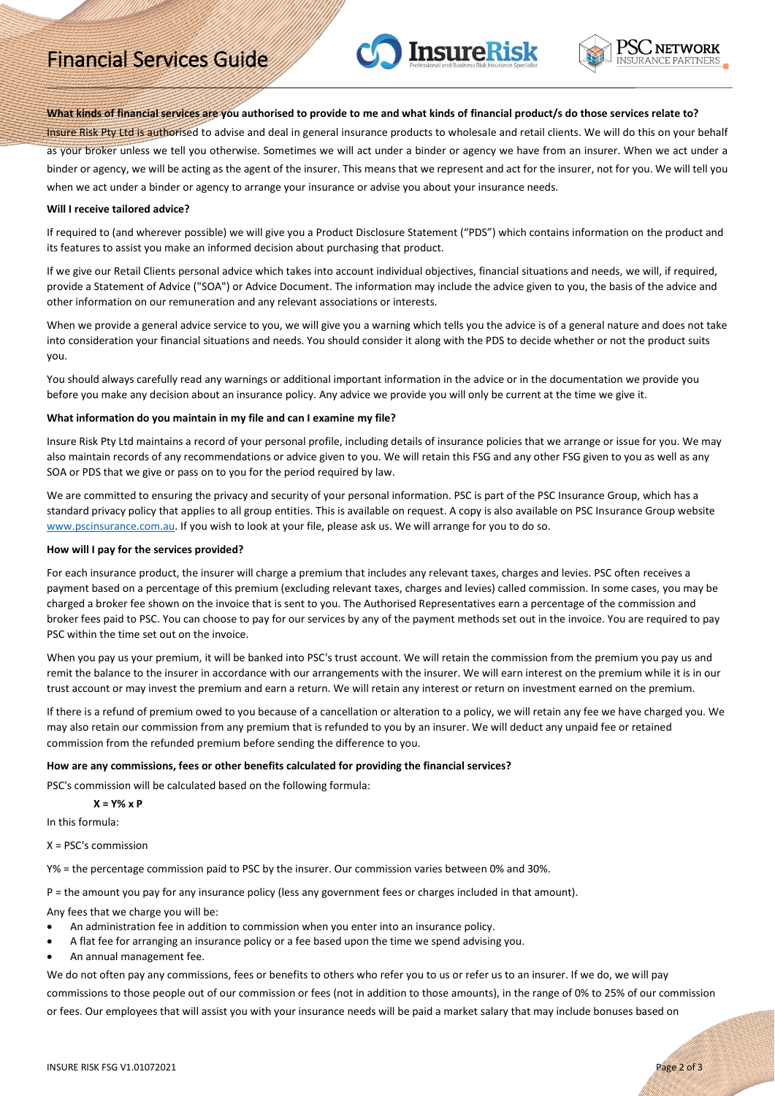# Financial Services Guide





## **What kinds of financial services are you authorised to provide to me and what kinds of financial product/s do those services relate to?**

Insure Risk Pty Ltd is authorised to advise and deal in general insurance products to wholesale and retail clients. We will do this on your behalf as your broker unless we tell you otherwise. Sometimes we will act under a binder or agency we have from an insurer. When we act under a binder or agency, we will be acting as the agent of the insurer. This means that we represent and act for the insurer, not for you. We will tell you when we act under a binder or agency to arrange your insurance or advise you about your insurance needs.

## **Will I receive tailored advice?**

If required to (and wherever possible) we will give you a Product Disclosure Statement ("PDS") which contains information on the product and its features to assist you make an informed decision about purchasing that product.

If we give our Retail Clients personal advice which takes into account individual objectives, financial situations and needs, we will, if required, provide a Statement of Advice ("SOA") or Advice Document. The information may include the advice given to you, the basis of the advice and other information on our remuneration and any relevant associations or interests.

When we provide a general advice service to you, we will give you a warning which tells you the advice is of a general nature and does not take into consideration your financial situations and needs. You should consider it along with the PDS to decide whether or not the product suits you.

You should always carefully read any warnings or additional important information in the advice or in the documentation we provide you before you make any decision about an insurance policy. Any advice we provide you will only be current at the time we give it.

## **What information do you maintain in my file and can I examine my file?**

Insure Risk Pty Ltd maintains a record of your personal profile, including details of insurance policies that we arrange or issue for you. We may also maintain records of any recommendations or advice given to you. We will retain this FSG and any other FSG given to you as well as any SOA or PDS that we give or pass on to you for the period required by law.

We are committed to ensuring the privacy and security of your personal information. PSC is part of the PSC Insurance Group, which has a standard privacy policy that applies to all group entities. This is available on request. A copy is also available on PSC Insurance Group website [www.pscinsurance.com.au.](http://www.pscinsurance.com.au/) If you wish to look at your file, please ask us. We will arrange for you to do so.

#### **How will I pay for the services provided?**

For each insurance product, the insurer will charge a premium that includes any relevant taxes, charges and levies. PSC often receives a payment based on a percentage of this premium (excluding relevant taxes, charges and levies) called commission. In some cases, you may be charged a broker fee shown on the invoice that is sent to you. The Authorised Representatives earn a percentage of the commission and broker fees paid to PSC. You can choose to pay for our services by any of the payment methods set out in the invoice. You are required to pay PSC within the time set out on the invoice.

When you pay us your premium, it will be banked into PSC's trust account. We will retain the commission from the premium you pay us and remit the balance to the insurer in accordance with our arrangements with the insurer. We will earn interest on the premium while it is in our trust account or may invest the premium and earn a return. We will retain any interest or return on investment earned on the premium.

If there is a refund of premium owed to you because of a cancellation or alteration to a policy, we will retain any fee we have charged you. We may also retain our commission from any premium that is refunded to you by an insurer. We will deduct any unpaid fee or retained commission from the refunded premium before sending the difference to you.

#### **How are any commissions, fees or other benefits calculated for providing the financial services?**

PSC's commission will be calculated based on the following formula:

# **X = Y% x P**

In this formula:

 $X = PSC's$  commission

Y% = the percentage commission paid to PSC by the insurer. Our commission varies between 0% and 30%.

P = the amount you pay for any insurance policy (less any government fees or charges included in that amount).

Any fees that we charge you will be:

- An administration fee in addition to commission when you enter into an insurance policy.
- A flat fee for arranging an insurance policy or a fee based upon the time we spend advising you.
- An annual management fee.

We do not often pay any commissions, fees or benefits to others who refer you to us or refer us to an insurer. If we do, we will pay commissions to those people out of our commission or fees (not in addition to those amounts), in the range of 0% to 25% of our commission or fees. Our employees that will assist you with your insurance needs will be paid a market salary that may include bonuses based on